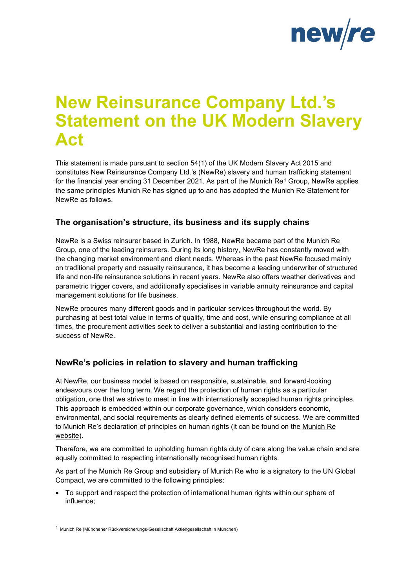

# **New Reinsurance Company Ltd.'s Statement on the UK Modern Slavery Act**

This statement is made pursuant to section 54(1) of the UK Modern Slavery Act 2015 and constitutes New Reinsurance Company Ltd.'s (NewRe) slavery and human trafficking statement for the financial year ending 3[1](#page-0-0) December 2021. As part of the Munich  $\text{Re}^{1}$  Group, NewRe applies the same principles Munich Re has signed up to and has adopted the Munich Re Statement for NewRe as follows.

## **The organisation's structure, its business and its supply chains**

NewRe is a Swiss reinsurer based in Zurich. In 1988, NewRe became part of the Munich Re Group, one of the leading reinsurers. During its long history, NewRe has constantly moved with the changing market environment and client needs. Whereas in the past NewRe focused mainly on traditional property and casualty reinsurance, it has become a leading underwriter of structured life and non-life reinsurance solutions in recent years. NewRe also offers weather derivatives and parametric trigger covers, and additionally specialises in variable annuity reinsurance and capital management solutions for life business.

NewRe procures many different goods and in particular services throughout the world. By purchasing at best total value in terms of quality, time and cost, while ensuring compliance at all times, the procurement activities seek to deliver a substantial and lasting contribution to the success of NewRe.

## **NewRe's policies in relation to slavery and human trafficking**

At NewRe, our business model is based on responsible, sustainable, and forward-looking endeavours over the long term. We regard the protection of human rights as a particular obligation, one that we strive to meet in line with internationally accepted human rights principles. This approach is embedded within our corporate governance, which considers economic, environmental, and social requirements as clearly defined elements of success. We are committed to Munich Re's declaration of principles on human rights (it can be found on the Munich Re [website\)](https://www.munichre.com/content/dam/munichre/global/content-pieces/documents/Human_Rights_declaration_2020.pdf/_jcr_content/renditions/original./Human_Rights_declaration_2020.pdf).

Therefore, we are committed to upholding human rights duty of care along the value chain and are equally committed to respecting internationally recognised human rights.

As part of the Munich Re Group and subsidiary of Munich Re who is a signatory to the UN Global Compact, we are committed to the following principles:

• To support and respect the protection of international human rights within our sphere of influence;

<span id="page-0-0"></span><sup>1</sup> Munich Re (Münchener Rückversicherungs-Gesellschaft Aktiengesellschaft in München)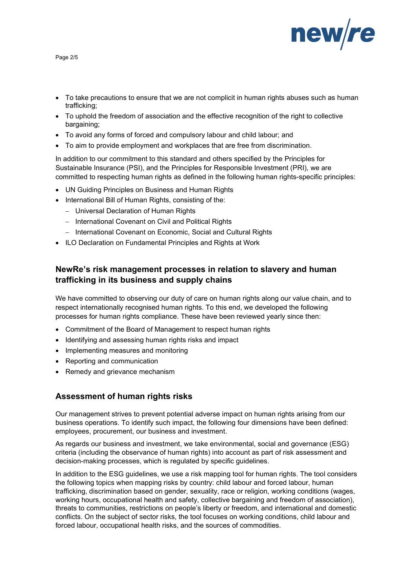

Page 2/5

- To take precautions to ensure that we are not complicit in human rights abuses such as human trafficking;
- To uphold the freedom of association and the effective recognition of the right to collective bargaining;
- To avoid any forms of forced and compulsory labour and child labour; and
- To aim to provide employment and workplaces that are free from discrimination.

In addition to our commitment to this standard and others specified by the Principles for Sustainable Insurance (PSI), and the Principles for Responsible Investment (PRI), we are committed to respecting human rights as defined in the following human rights-specific principles:

- UN Guiding Principles on Business and Human Rights
- International Bill of Human Rights, consisting of the:
	- − Universal Declaration of Human Rights
	- − International Covenant on Civil and Political Rights
	- − International Covenant on Economic, Social and Cultural Rights
- ILO Declaration on Fundamental Principles and Rights at Work

# **NewRe's risk management processes in relation to slavery and human trafficking in its business and supply chains**

We have committed to observing our duty of care on human rights along our value chain, and to respect internationally recognised human rights. To this end, we developed the following processes for human rights compliance. These have been reviewed yearly since then:

- Commitment of the Board of Management to respect human rights
- Identifying and assessing human rights risks and impact
- Implementing measures and monitoring
- Reporting and communication
- Remedy and grievance mechanism

## **Assessment of human rights risks**

Our management strives to prevent potential adverse impact on human rights arising from our business operations. To identify such impact, the following four dimensions have been defined: employees, procurement, our business and investment.

As regards our business and investment, we take environmental, social and governance (ESG) criteria (including the observance of human rights) into account as part of risk assessment and decision-making processes, which is regulated by specific guidelines.

In addition to the ESG guidelines, we use a risk mapping tool for human rights. The tool considers the following topics when mapping risks by country: child labour and forced labour, human trafficking, discrimination based on gender, sexuality, race or religion, working conditions (wages, working hours, occupational health and safety, collective bargaining and freedom of association), threats to communities, restrictions on people's liberty or freedom, and international and domestic conflicts. On the subject of sector risks, the tool focuses on working conditions, child labour and forced labour, occupational health risks, and the sources of commodities.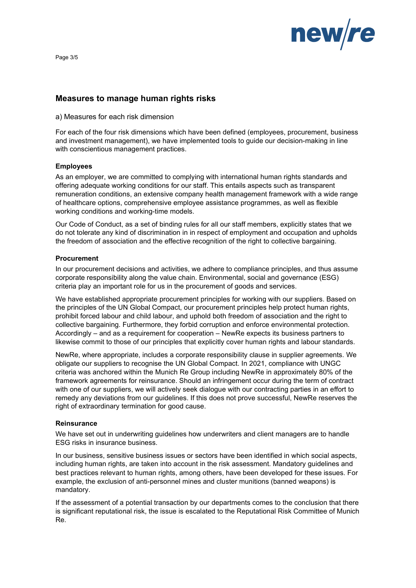

Page 3/5

### **Measures to manage human rights risks**

#### a) Measures for each risk dimension

For each of the four risk dimensions which have been defined (employees, procurement, business and investment management), we have implemented tools to guide our decision-making in line with conscientious management practices.

#### **Employees**

As an employer, we are committed to complying with international human rights standards and offering adequate working conditions for our staff. This entails aspects such as transparent remuneration conditions, an extensive company health management framework with a wide range of healthcare options, comprehensive employee assistance programmes, as well as flexible working conditions and working-time models.

Our Code of Conduct, as a set of binding rules for all our staff members, explicitly states that we do not tolerate any kind of discrimination in in respect of employment and occupation and upholds the freedom of association and the effective recognition of the right to collective bargaining.

#### **Procurement**

In our procurement decisions and activities, we adhere to compliance principles, and thus assume corporate responsibility along the value chain. Environmental, social and governance (ESG) criteria play an important role for us in the procurement of goods and services.

We have established appropriate procurement principles for working with our suppliers. Based on the principles of the UN Global Compact, our procurement principles help protect human rights, prohibit forced labour and child labour, and uphold both freedom of association and the right to collective bargaining. Furthermore, they forbid corruption and enforce environmental protection. Accordingly – and as a requirement for cooperation – NewRe expects its business partners to likewise commit to those of our principles that explicitly cover human rights and labour standards.

NewRe, where appropriate, includes a corporate responsibility clause in supplier agreements. We obligate our suppliers to recognise the UN Global Compact. In 2021, compliance with UNGC criteria was anchored within the Munich Re Group including NewRe in approximately 80% of the framework agreements for reinsurance. Should an infringement occur during the term of contract with one of our suppliers, we will actively seek dialogue with our contracting parties in an effort to remedy any deviations from our guidelines. If this does not prove successful, NewRe reserves the right of extraordinary termination for good cause.

#### **Reinsurance**

We have set out in underwriting guidelines how underwriters and client managers are to handle ESG risks in insurance business.

In our business, sensitive business issues or sectors have been identified in which social aspects, including human rights, are taken into account in the risk assessment. Mandatory guidelines and best practices relevant to human rights, among others, have been developed for these issues. For example, the exclusion of anti-personnel mines and cluster munitions (banned weapons) is mandatory.

If the assessment of a potential transaction by our departments comes to the conclusion that there is significant reputational risk, the issue is escalated to the Reputational Risk Committee of Munich Re.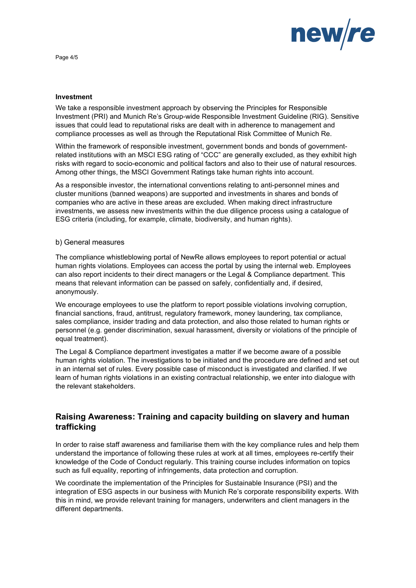

Page 4/5

#### **Investment**

We take a responsible investment approach by observing the Principles for Responsible Investment (PRI) and Munich Re's Group-wide Responsible Investment Guideline (RIG). Sensitive issues that could lead to reputational risks are dealt with in adherence to management and compliance processes as well as through the Reputational Risk Committee of Munich Re.

Within the framework of responsible investment, government bonds and bonds of governmentrelated institutions with an MSCI ESG rating of "CCC" are generally excluded, as they exhibit high risks with regard to socio-economic and political factors and also to their use of natural resources. Among other things, the MSCI Government Ratings take human rights into account.

As a responsible investor, the international conventions relating to anti-personnel mines and cluster munitions (banned weapons) are supported and investments in shares and bonds of companies who are active in these areas are excluded. When making direct infrastructure investments, we assess new investments within the due diligence process using a catalogue of ESG criteria (including, for example, climate, biodiversity, and human rights).

#### b) General measures

The compliance whistleblowing portal of NewRe allows employees to report potential or actual human rights violations. Employees can access the portal by using the internal web. Employees can also report incidents to their direct managers or the Legal & Compliance department. This means that relevant information can be passed on safely, confidentially and, if desired, anonymously.

We encourage employees to use the platform to report possible violations involving corruption, financial sanctions, fraud, antitrust, regulatory framework, money laundering, tax compliance, sales compliance, insider trading and data protection, and also those related to human rights or personnel (e.g. gender discrimination, sexual harassment, diversity or violations of the principle of equal treatment).

The Legal & Compliance department investigates a matter if we become aware of a possible human rights violation. The investigations to be initiated and the procedure are defined and set out in an internal set of rules. Every possible case of misconduct is investigated and clarified. If we learn of human rights violations in an existing contractual relationship, we enter into dialogue with the relevant stakeholders.

# **Raising Awareness: Training and capacity building on slavery and human trafficking**

In order to raise staff awareness and familiarise them with the key compliance rules and help them understand the importance of following these rules at work at all times, employees re-certify their knowledge of the Code of Conduct regularly. This training course includes information on topics such as full equality, reporting of infringements, data protection and corruption.

We coordinate the implementation of the Principles for Sustainable Insurance (PSI) and the integration of ESG aspects in our business with Munich Re's corporate responsibility experts. With this in mind, we provide relevant training for managers, underwriters and client managers in the different departments.